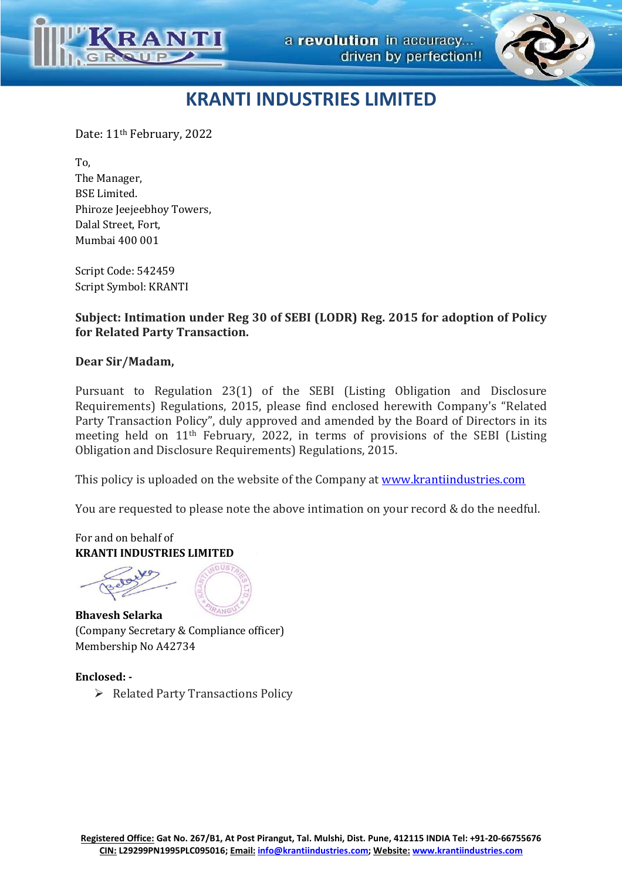



Date: 11th February, 2022

To, The Manager, BSE Limited. Phiroze Jeejeebhoy Towers, Dalal Street, Fort, Mumbai 400 001

Script Code: 542459 Script Symbol: KRANTI

**Subject: Intimation under Reg 30 of SEBI (LODR) Reg. 2015 for adoption of Policy for Related Party Transaction.** 

#### **Dear Sir/Madam,**

Pursuant to Regulation 23(1) of the SEBI (Listing Obligation and Disclosure Requirements) Regulations, 2015, please find enclosed herewith Company's "Related Party Transaction Policy", duly approved and amended by the Board of Directors in its meeting held on 11th February, 2022, in terms of provisions of the SEBI (Listing Obligation and Disclosure Requirements) Regulations, 2015.

This policy is uploaded on the website of the Company at www.krantiindustries.com

You are requested to please note the above intimation on your record & do the needful.

For and on behalf of **KRANTI INDUSTRIES LIMITED** 



**Bhavesh Selarka**  (Company Secretary & Compliance officer) Membership No A42734

#### **Enclosed: -**

 $\triangleright$  Related Party Transactions Policy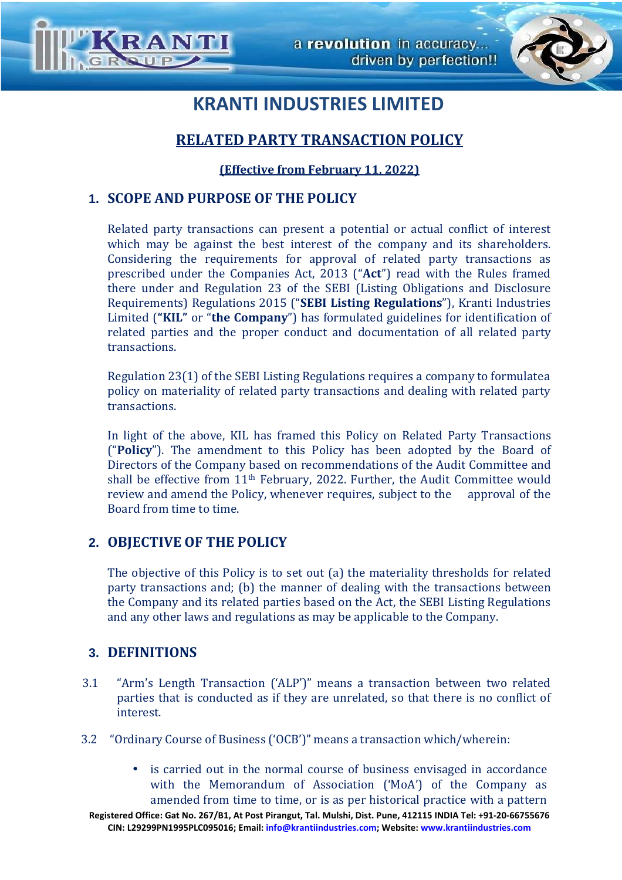



## **RELATED PARTY TRANSACTION POLICY**

### **(Effective from February 11, 2022)**

## **1. SCOPE AND PURPOSE OF THE POLICY**

Related party transactions can present a potential or actual conflict of interest which may be against the best interest of the company and its shareholders. Considering the requirements for approval of related party transactions as prescribed under the Companies Act, 2013 ("**Act**") read with the Rules framed there under and Regulation 23 of the SEBI (Listing Obligations and Disclosure Requirements) Regulations 2015 ("**SEBI Listing Regulations**"), Kranti Industries Limited (**"KIL"** or "**the Company**") has formulated guidelines for identification of related parties and the proper conduct and documentation of all related party transactions.

Regulation 23(1) of the SEBI Listing Regulations requires a company to formulate a policy on materiality of related party transactions and dealing with related party transactions.

In light of the above, KIL has framed this Policy on Related Party Transactions ("**Policy**"). The amendment to this Policy has been adopted by the Board of Directors of the Company based on recommendations of the Audit Committee and shall be effective from 11th February, 2022. Further, the Audit Committee would review and amend the Policy, whenever requires, subject to the approval of the Board from time to time.

### **2. OBJECTIVE OF THE POLICY**

The objective of this Policy is to set out (a) the materiality thresholds for related party transactions and; (b) the manner of dealing with the transactions between the Company and its related parties based on the Act, the SEBI Listing Regulations and any other laws and regulations as may be applicable to the Company.

### **3. DEFINITIONS**

- 3.1 "Arm's Length Transaction ('ALP')" means a transaction between two related parties that is conducted as if they are unrelated, so that there is no conflict of interest.
- 3.2 "Ordinary Course of Business ('OCB')" means a transaction which/wherein:
	- is carried out in the normal course of business envisaged in accordance with the Memorandum of Association ('MoA') of the Company as amended from time to time, or is as per historical practice with a pattern

**Registered Office: Gat No. 267/B1, At Post Pirangut, Tal. Mulshi, Dist. Pune, 412115 INDIA Tel: +91-20-66755676 CIN: L29299PN1995PLC095016; Email: info@krantiindustries.com; Website: www.krantiindustries.com**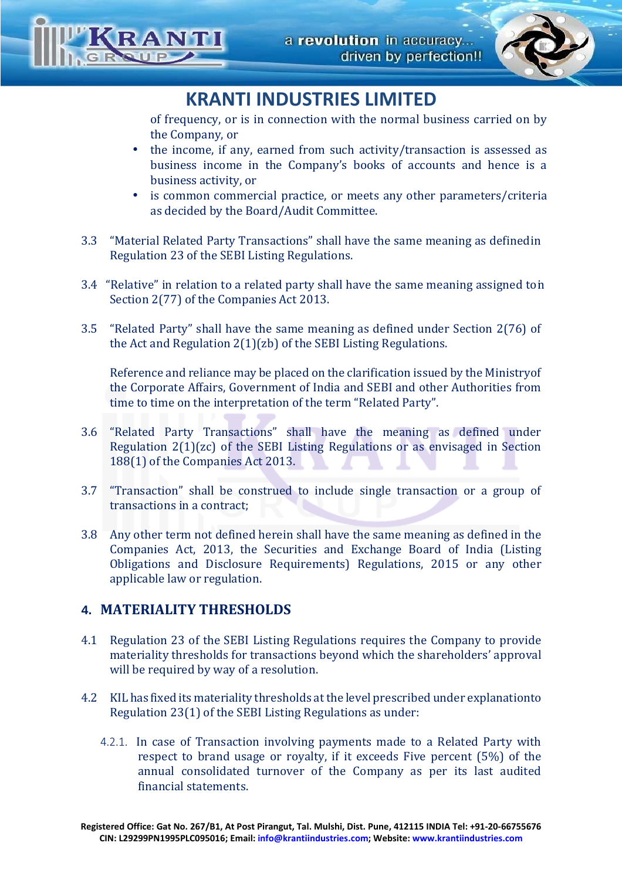

of frequency, or is in connection with the normal business carried on by the Company, or

- the income, if any, earned from such activity/transaction is assessed as business income in the Company's books of accounts and hence is a business activity, or
- is common commercial practice, or meets any other parameters/criteria as decided by the Board/Audit Committee.
- 3.3 "Material Related Party Transactions" shall have the same meaning as defined in Regulation 23 of the SEBI Listing Regulations.
- 3.4 "Relative" in relation to a related party shall have the same meaning assigned ton Section 2(77) of the Companies Act 2013.
- 3.5 "Related Party" shall have the same meaning as defined under Section 2(76) of the Act and Regulation 2(1)(zb) of the SEBI Listing Regulations.

Reference and reliance may be placed on the clarification issued by the Ministry of the Corporate Affairs, Government of India and SEBI and other Authorities from time to time on the interpretation of the term "Related Party".

- 3.6 "Related Party Transactions" shall have the meaning as defined under Regulation 2(1)(zc) of the SEBI Listing Regulations or as envisaged in Section 188(1) of the Companies Act 2013.
- 3.7 "Transaction" shall be construed to include single transaction or a group of transactions in a contract;
- 3.8 Any other term not defined herein shall have the same meaning as defined in the Companies Act, 2013, the Securities and Exchange Board of India (Listing Obligations and Disclosure Requirements) Regulations, 2015 or any other applicable law or regulation.

## **4. MATERIALITY THRESHOLDS**

- 4.1 Regulation 23 of the SEBI Listing Regulations requires the Company to provide materiality thresholds for transactions beyond which the shareholders' approval will be required by way of a resolution.
- 4.2 KIL has fixed its materiality thresholds at the level prescribed under explanation to Regulation 23(1) of the SEBI Listing Regulations as under:
	- 4.2.1. In case of Transaction involving payments made to a Related Party with respect to brand usage or royalty, if it exceeds Five percent (5%) of the annual consolidated turnover of the Company as per its last audited financial statements.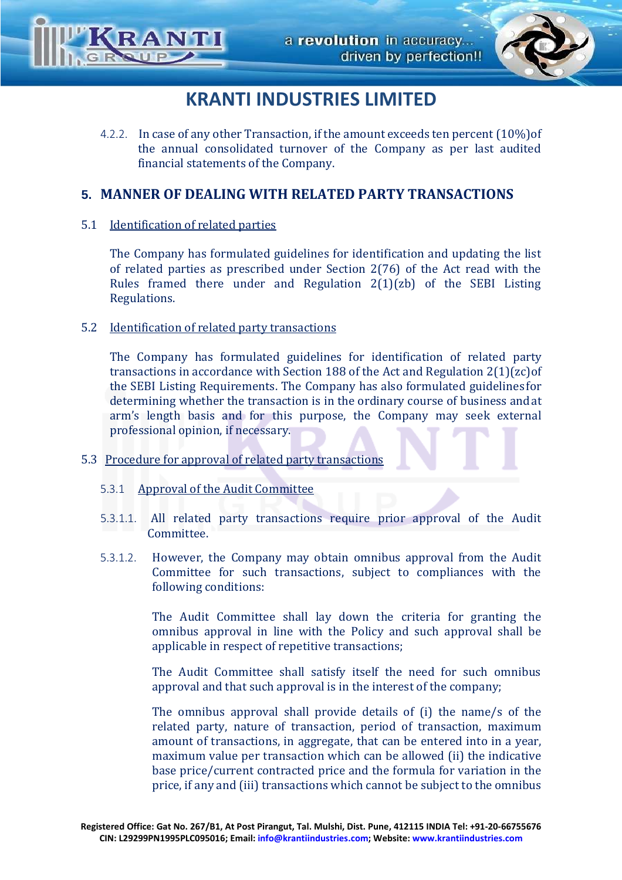

4.2.2. In case of any other Transaction, if the amount exceeds ten percent (10%) of the annual consolidated turnover of the Company as per last audited financial statements of the Company.

## **5. MANNER OF DEALING WITH RELATED PARTY TRANSACTIONS**

### 5.1 Identification of related parties

The Company has formulated guidelines for identification and updating the list of related parties as prescribed under Section 2(76) of the Act read with the Rules framed there under and Regulation 2(1)(zb) of the SEBI Listing Regulations.

### 5.2 Identification of related party transactions

The Company has formulated guidelines for identification of related party transactions in accordance with Section 188 of the Act and Regulation 2(1)(zc) of the SEBI Listing Requirements. The Company has also formulated guidelines for determining whether the transaction is in the ordinary course of business and at arm's length basis and for this purpose, the Company may seek external professional opinion, if necessary.

### 5.3 Procedure for approval of related party transactions

- 5.3.1 Approval of the Audit Committee
- 5.3.1.1. All related party transactions require prior approval of the Audit Committee.
- 5.3.1.2. However, the Company may obtain omnibus approval from the Audit Committee for such transactions, subject to compliances with the following conditions:

The Audit Committee shall lay down the criteria for granting the omnibus approval in line with the Policy and such approval shall be applicable in respect of repetitive transactions;

The Audit Committee shall satisfy itself the need for such omnibus approval and that such approval is in the interest of the company;

The omnibus approval shall provide details of (i) the name/s of the related party, nature of transaction, period of transaction, maximum amount of transactions, in aggregate, that can be entered into in a year, maximum value per transaction which can be allowed (ii) the indicative base price/current contracted price and the formula for variation in the price, if any and (iii) transactions which cannot be subject to the omnibus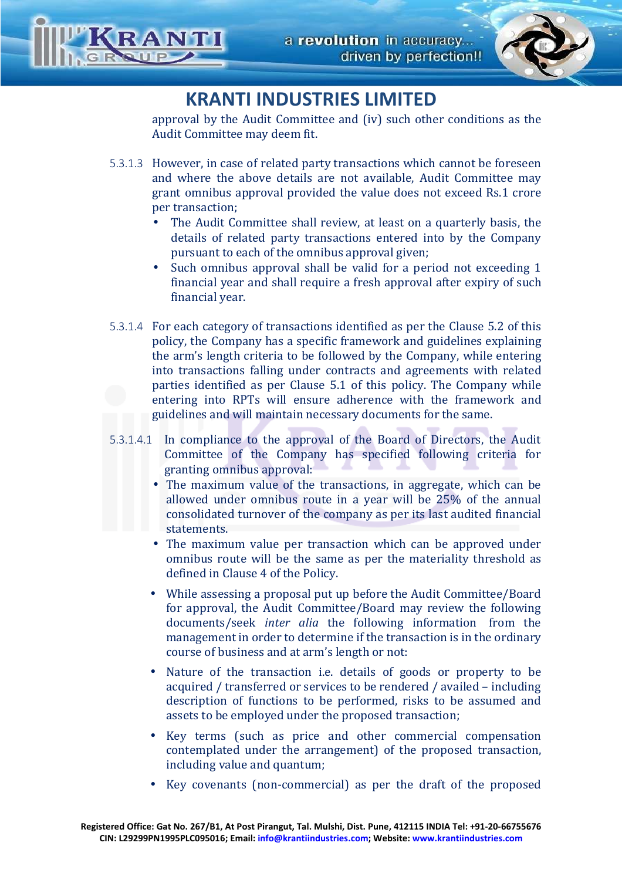

approval by the Audit Committee and (iv) such other conditions as the Audit Committee may deem fit.

- 5.3.1.3 However, in case of related party transactions which cannot be foreseen and where the above details are not available, Audit Committee may grant omnibus approval provided the value does not exceed Rs.1 crore per transaction;
	- The Audit Committee shall review, at least on a quarterly basis, the details of related party transactions entered into by the Company pursuant to each of the omnibus approval given;
	- Such omnibus approval shall be valid for a period not exceeding 1 financial year and shall require a fresh approval after expiry of such financial year.
- 5.3.1.4 For each category of transactions identified as per the Clause 5.2 of this policy, the Company has a specific framework and guidelines explaining the arm's length criteria to be followed by the Company, while entering into transactions falling under contracts and agreements with related parties identified as per Clause 5.1 of this policy. The Company while entering into RPTs will ensure adherence with the framework and guidelines and will maintain necessary documents for the same.
- 5.3.1.4.1 In compliance to the approval of the Board of Directors, the Audit Committee of the Company has specified following criteria for granting omnibus approval:
	- The maximum value of the transactions, in aggregate, which can be allowed under omnibus route in a year will be 25% of the annual consolidated turnover of the company as per its last audited financial statements.
	- The maximum value per transaction which can be approved under omnibus route will be the same as per the materiality threshold as defined in Clause 4 of the Policy.
	- While assessing a proposal put up before the Audit Committee/Board for approval, the Audit Committee/Board may review the following documents/seek *inter alia* the following information from the management in order to determine if the transaction is in the ordinary course of business and at arm's length or not:
	- Nature of the transaction i.e. details of goods or property to be acquired / transferred or services to be rendered / availed – including description of functions to be performed, risks to be assumed and assets to be employed under the proposed transaction;
	- Key terms (such as price and other commercial compensation contemplated under the arrangement) of the proposed transaction, including value and quantum;
	- Key covenants (non-commercial) as per the draft of the proposed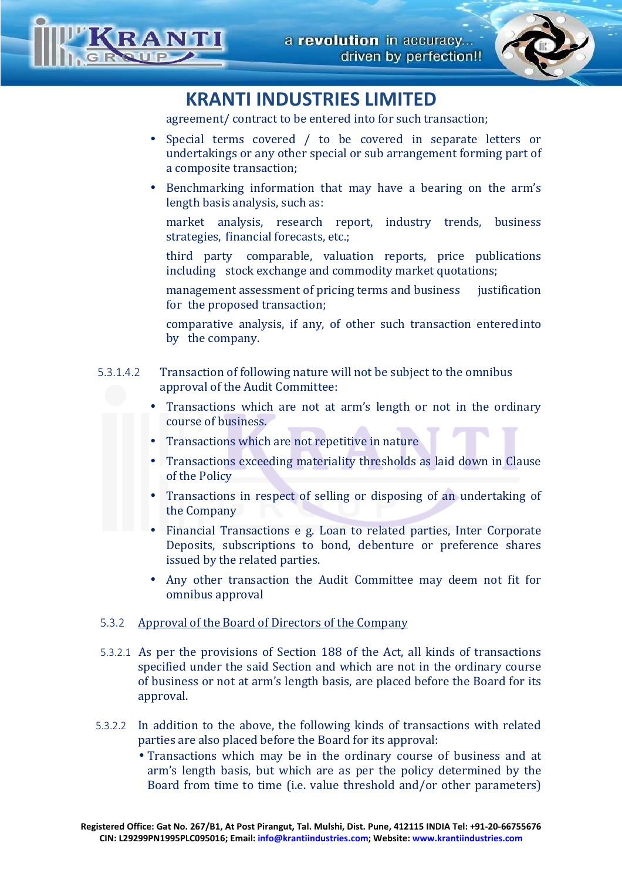

agreement/ contract to be entered into for such transaction;

- Special terms covered / to be covered in separate letters or undertakings or any other special or sub arrangement forming part of a composite transaction;
- Benchmarking information that may have a bearing on the arm's length basis analysis, such as:

 market analysis, research report, industry trends, business strategies, financial forecasts, etc.;

 third party comparable, valuation reports, price publications including stock exchange and commodity market quotations;

management assessment of pricing terms and business iustification for the proposed transaction;

 comparative analysis, if any, of other such transaction entered into by the company.

- 5.3.1.4.2 Transaction of following nature will not be subject to the omnibus approval of the Audit Committee:
	- Transactions which are not at arm's length or not in the ordinary course of business.
	- Transactions which are not repetitive in nature
	- Transactions exceeding materiality thresholds as laid down in Clause of the Policy
	- Transactions in respect of selling or disposing of an undertaking of the Company
	- Financial Transactions e g. Loan to related parties, Inter Corporate Deposits, subscriptions to bond, debenture or preference shares issued by the related parties.
	- Any other transaction the Audit Committee may deem not fit for omnibus approval

## 5.3.2 Approval of the Board of Directors of the Company

- 5.3.2.1 As per the provisions of Section 188 of the Act, all kinds of transactions specified under the said Section and which are not in the ordinary course of business or not at arm's length basis, are placed before the Board for its approval.
- 5.3.2.2 In addition to the above, the following kinds of transactions with related parties are also placed before the Board for its approval:
	- Transactions which may be in the ordinary course of business and at arm's length basis, but which are as per the policy determined by the Board from time to time (i.e. value threshold and/or other parameters)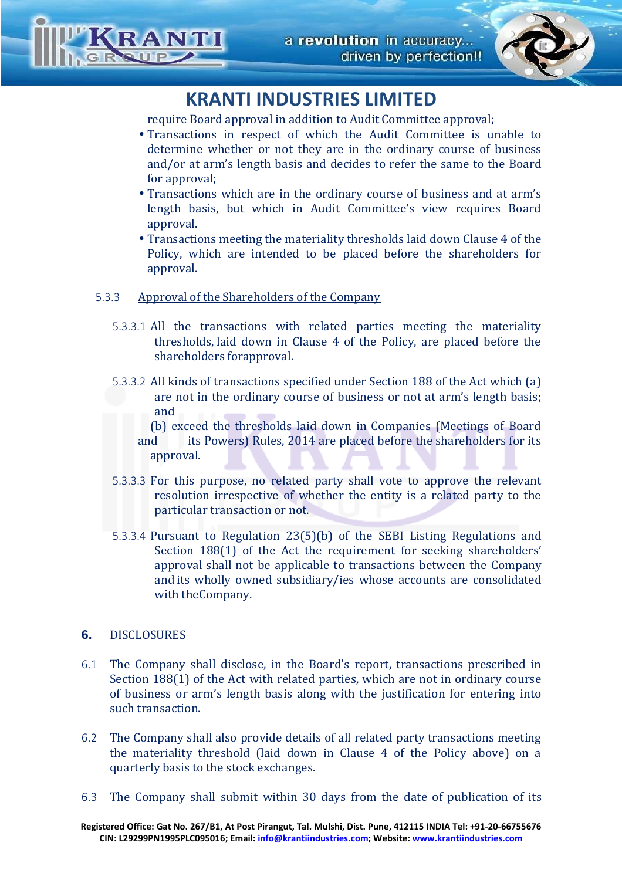

require Board approval in addition to Audit Committee approval;

- Transactions in respect of which the Audit Committee is unable to determine whether or not they are in the ordinary course of business and/or at arm's length basis and decides to refer the same to the Board for approval:
- Transactions which are in the ordinary course of business and at arm's length basis, but which in Audit Committee's view requires Board approval.
- Transactions meeting the materiality thresholds laid down Clause 4 of the Policy, which are intended to be placed before the shareholders for approval.

### 5.3.3 Approval of the Shareholders of the Company

- 5.3.3.1 All the transactions with related parties meeting the materiality thresholds, laid down in Clause 4 of the Policy, are placed before the shareholders for approval.
- 5.3.3.2 All kinds of transactions specified under Section 188 of the Act which (a) are not in the ordinary course of business or not at arm's length basis; and

 (b) exceed the thresholds laid down in Companies (Meetings of Board and its Powers) Rules, 2014 are placed before the shareholders for its approval.

- 5.3.3.3 For this purpose, no related party shall vote to approve the relevant resolution irrespective of whether the entity is a related party to the particular transaction or not.
- 5.3.3.4 Pursuant to Regulation 23(5)(b) of the SEBI Listing Regulations and Section 188(1) of the Act the requirement for seeking shareholders' approval shall not be applicable to transactions between the Company and its wholly owned subsidiary/ies whose accounts are consolidated with the Company.

### **6.** DISCLOSURES

- 6.1 The Company shall disclose, in the Board's report, transactions prescribed in Section 188(1) of the Act with related parties, which are not in ordinary course of business or arm's length basis along with the justification for entering into such transaction.
- 6.2 The Company shall also provide details of all related party transactions meeting the materiality threshold (laid down in Clause 4 of the Policy above) on a quarterly basis to the stock exchanges.
- 6.3 The Company shall submit within 30 days from the date of publication of its

**Registered Office: Gat No. 267/B1, At Post Pirangut, Tal. Mulshi, Dist. Pune, 412115 INDIA Tel: +91-20-66755676 CIN: L29299PN1995PLC095016; Email: info@krantiindustries.com; Website: www.krantiindustries.com**